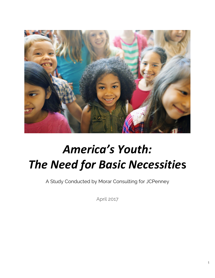

# *America's Youth: The Need for Basic Necessitie***s**

A Study Conducted by Morar Consulting for JCPenney

April 2017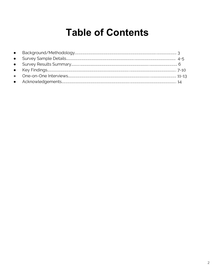### **Table of Contents**

| $\bullet$ |  |
|-----------|--|
| $\bullet$ |  |
|           |  |
|           |  |
|           |  |
|           |  |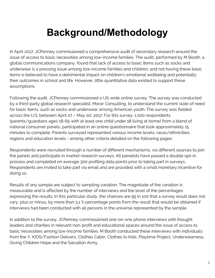# **Background/Methodology**

In April 2017, JCPenney commissioned a comprehensive audit of secondary research around the issue of access to basic necessities among low-income families. The audit, performed by M Booth, a global communications company, found that lack of access to basic items such as socks and underwear is a pressing issue among low-income families and children, and not having these basic items is believed to have a detrimental impact on children's emotional wellbeing and potentially their outcomes in school and life. However, little quantitative data existed to support these assumptions.

Following the audit, JCPenney commissioned a US-wide online survey. The survey was conducted by a third-party global research specialist, Morar Consulting, to understand the current state of need for basic items, such as socks and underwear among American youth. The survey was fielded across the U.S. between April 27 – May 1st, 2017. For this survey, 1,020 respondents, (parents/guardians ages 18-65 with at least one child under 18 living at home) from a blend of national consumer panels, participated in an online questionnaire that took approximately 15 minutes to complete. Parents surveyed represented various income levels, races/ethnicities, regions and education levels - among other criteria detailed on the following pages.

Respondents were recruited through a number of different mechanisms, via different sources to join the panels and participate in market research surveys. All panelists have passed a double opt-in process and completed on average 300 profiling data points prior to taking part in surveys. Respondents are invited to take part via email and are provided with a small monetary incentive for doing so.

Results of any sample are subject to sampling variation. The magnitude of the variation is measurable and is affected by the number of interviews and the level of the percentages expressing the results. In this particular study, the chances are 95 in 100 that a survey result does not vary, plus or minus, by more than 3.1 % percentage points from the result that would be obtained if interviews had been conducted with all persons in the universe represented by the sample.

In addition to the survey, JCPenney commissioned one-on-one phone interviews with thought leaders and charities in relevant non-profit and educational spaces around the issue of access to basic necessities among low-income families. M Booth conducted these interviews with individuals from the [Y,](http://www.ymca.net/) [KIDS/Fashion Delivers,](http://www.delivering-good.org/) [Clothes Cabin,](http://clothescabin.org/) [Clothes to Kids](https://clothestokidsfairfieldcounty.org/how-it-works/), [Playtime Project,](https://www.playtimeproject.org/what-we-do/) [Underwearness](http://www.underwearness.org/), [Giving Children Hope](http://www.givingchildrenhope.org/) and the [Salvation Army.](http://www.salvationarmyusa.org/usn/about)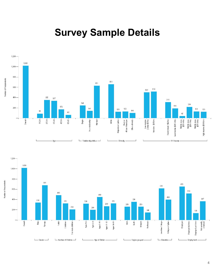### **Survey Sample Details**





4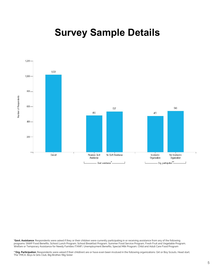### **Survey Sample Details**



**\*Govt. Assistance**: Respondents were asked if they or their children were currently participating in or receiving assistance from any of the following programs: SNAP Food Benefits, School Lunch Program, School Breakfast Program, Summer Food Service Program, Fresh Fruit and Vegetable Program, Welfare or Temporary Assistance for Needy Families (TANF), Unemployment Benefits, Special Milk Program, Child and Adult Care Food Program

**\*\*Org. Participation**: Respondents were asked if their child(ren) are or have even been involved in the following organizations: Girl or Boy Scouts, Head start, The YMCA, Boys & Girls Club, Big Brother/Big Sister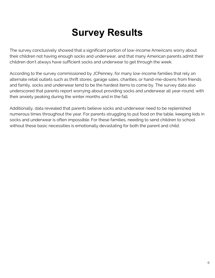## **Survey Results**

The survey conclusively showed that a significant portion of low-income Americans worry about their children not having enough socks and underwear, and that many American parents admit their children don't always have sufficient socks and underwear to get through the week.

According to the survey commissioned by JCPenney, for many low-income families that rely on alternate retail outlets such as thrift stores, garage sales, charities, or hand-me-downs from friends and family, socks and underwear tend to be the hardest items to come by. The survey data also underscored that parents report worrying about providing socks and underwear all year-round, with their anxiety peaking during the winter months and in the fall.

Additionally, data revealed that parents believe socks and underwear need to be replenished numerous times throughout the year. For parents struggling to put food on the table, keeping kids in socks and underwear is often impossible. For these families, needing to send children to school without these basic necessities is emotionally devastating for both the parent and child.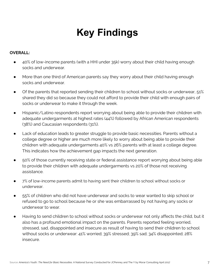#### **OVERALL:**

- 40% of low-income parents (with a HHI under 35k) worry about their child having enough socks and underwear.
- More than one third of American parents say they worry about their child having enough socks and underwear.
- Of the parents that reported sending their children to school without socks or underwear, 51% shared they did so because they could not afford to provide their child with enough pairs of socks or underwear to make it through the week.
- Hispanic/Latino respondents report worrying about being able to provide their children with adequate undergarments at highest rates (44%) followed by African American respondents (38%) and Caucasian respondents (31%).
- Lack of education leads to greater struggle to provide basic necessities. Parents without a college degree or higher are much more likely to worry about being able to provide their children with adequate undergarments 40% vs 26% parents with at least a college degree. This indicates how the achievement gap impacts the next generation.
- 50% of those currently receiving state or federal assistance report worrying about being able to provide their children with adequate undergarments vs 20% of those not receiving assistance.
- 7% of low-income parents admit to having sent their children to school without socks or underwear.
- 55% of children who did not have underwear and socks to wear wanted to skip school or refused to go to school because he or she was embarrassed by not having any socks or underwear to wear.
- Having to send children to school without socks or underwear not only affects the child, but it also has a profound emotional impact on the parents. Parents reported feeling worried, stressed, sad, disappointed and insecure as result of having to send their children to school without socks or underwear: 41% worried; 39% stressed; 39% sad; 34% disappointed; 28% insecure.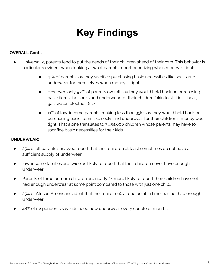#### **OVERALL Cont...**

- Universally, parents tend to put the needs of their children ahead of their own. This behavior is particularly evident when looking at what parents report prioritizing when money is tight:
	- 41% of parents say they sacrifice purchasing basic necessities like socks and underwear for themselves when money is tight.
	- However, only 9.2% of parents overall say they would hold back on purchasing basic items like socks and underwear for their children (akin to utilities - heat, gas, water, electric - 8%).
	- 11% of low-income parents (making less than 35k) say they would hold back on purchasing basic items like socks and underwear for their children if money was tight. That alone translates to 3,454,000 children whose parents may have to sacrifice basic necessities for their kids.

#### **UNDERWEAR:**

- 25% of all parents surveyed report that their children at least sometimes do not have a sufficient supply of underwear.
- low-income families are twice as likely to report that their children never have enough underwear.
- Parents of three or more children are nearly 2x more likely to report their children have not had enough underwear at some point compared to those with just one child.
- 25% of African Americans admit that their child(ren), at one point in time, has not had enough underwear.
- 48% of respondents say kids need new underwear every couple of months.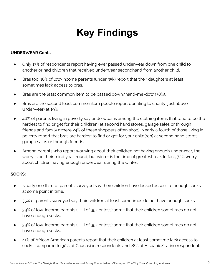#### **UNDERWEAR Cont…**

- Only 13% of respondents report having ever passed underwear down from one child to another or had children that received underwear secondhand from another child.
- Bras too: 18% of low-income parents (under 35k) report that their daughters at least sometimes lack access to bras.
- Bras are the least common item to be passed down/hand-me-down (8%).
- Bras are the second least common item people report donating to charity (just above underwear) at 19%.
- 46% of parents living in poverty say underwear is among the clothing items that tend to be the hardest to find or get for their child(ren) at second hand stores, garage sales or through friends and family (where 24% of these shoppers often shop). Nearly a fourth of those living in poverty report that bras are hardest to find or get for your child(ren) at second hand stores, garage sales or through friends.
- Among parents who report worrying about their children not having enough underwear, the worry is on their mind year-round, but winter is the time of greatest fear. In fact, 72% worry about children having enough underwear during the winter.

#### **SOCKS:**

- Nearly one third of parents surveyed say their children have lacked access to enough socks at some point in time.
- 35% of parents surveyed say their children at least sometimes do not have enough socks.
- 39% of low-income parents (HHI of 35k or less) admit that their children sometimes do not have enough socks.
- 39% of low-income parents (HHI of 35k or less) admit that their children sometimes do not have enough socks.
- 41% of African American parents report that their children at least sometime lack access to socks, compared to 30% of Caucasian respondents and 28% of Hispanic/Latino respondents.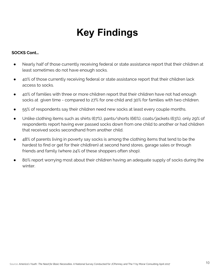#### **SOCKS Cont…**

- Nearly half of those currently receiving federal or state assistance report that their children at least sometimes do not have enough socks.
- 40% of those currently receiving federal or state assistance report that their children lack access to socks.
- 40% of families with three or more children report that their children have not had enough socks at given time - compared to 27% for one child and 30% for families with two children.
- 55% of respondents say their children need new socks at least every couple months.
- Unlike clothing items such as shirts (67%), pants/shorts (66%), coats/jackets (63%), only 29% of respondents report having ever passed socks down from one child to another or had children that received socks secondhand from another child.
- 48% of parents living in poverty say socks is among the clothing items that tend to be the hardest to find or get for their child(ren) at second hand stores, garage sales or through friends and family (where 24% of these shoppers often shop).
- 80% report worrying most about their children having an adequate supply of socks during the winter.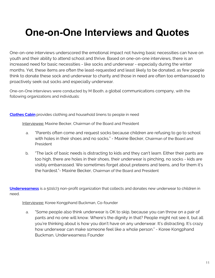### **One-on-One Interviews and Quotes**

One-on-one interviews underscored the emotional impact not having basic necessities can have on youth and their ability to attend school and thrive. Based on one-on-one interviews, there is an increased need for basic necessities - like socks and underwear - especially during the winter months. Yet, these items are often the least-requested and least likely to be donated, as few people think to donate these sock and underwear to charity and those in need are often too embarrassed to proactively seek out socks and especially underwear.

One-on-One interviews were conducted by M Booth, a global communications company, with the following organizations and individuals:

#### **[Clothes Cabin](http://clothescabin.org/)** provides clothing and household linens to people in need

Interviewee: Maxine Becker, Chairman of the Board and President

- a. "Parents often come and request socks because children are refusing to go to school with holes in their shoes and no socks." - Maxine Becker, Chairman of the Board and President
- b. "The lack of basic needs is distracting to kids and they can't learn. Either their pants are too high, there are holes in their shoes, their underwear is pinching, no socks - kids are visibly embarrassed. We sometimes forget about preteens and teens, and for them it's the hardest."- Maxine Becker, Chairman of the Board and President

**[Underwearness](http://www.underwearness.org/)** is a 501(c)3 non-profit organization that collects and donates new underwear to children in need.

#### Interviewee: Koree Kongphand Buckman, Co-founder

a. "Some people also think underwear is OK to skip, because you can throw on a pair of pants and no one will know. Where's the dignity in that? People might not see it, but all you're thinking about is how you don't have on any underwear. It's distracting. It's crazy how underwear can make someone feel like a whole person." - Koree Kongphand Buckman, Underwearness Founder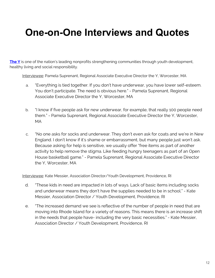### **One-on-One Interviews and Quotes**

**[The Y](http://www.ymca.net/)** is one of the nation's leading nonprofits strengthening communities through youth development, healthy living and social responsibility.

Interviewee: Pamela Suprenant, Regional Associate Executive Director the Y, Worcester, MA

- a. "Everything is tied together. If you don't have underwear, you have lower self-esteem. You don't participate. The need is obvious here." - Pamela Suprenant, Regional Associate Executive Director the Y, Worcester, MA
- b. "I know if five people ask for new underwear, for example, that really 100 people need them." - Pamela Suprenant, Regional Associate Executive Director the Y, Worcester, MA
- c. "No one asks for socks and underwear. They don't even ask for coats and we're in New England. I don't know if it's shame or embarrassment, but many people just won't ask. Because asking for help is sensitive, we usually offer "free items as part of another activity to help remove the stigma. Like feeding hungry teenagers as part of an Open House basketball game." - Pamela Suprenant, Regional Associate Executive Director the Y, Worcester, MA

Interviewee: Kate Messier, Association Director/Youth Development, Providence, RI

- d. "These kids in need are impacted in lots of ways. Lack of basic items including socks and underwear means they don't have the supplies needed to be in school." - Kate Messier, Association Director / Youth Development, Providence, RI
- e. "The increased demand we see is reflective of the number of people in need that are moving into Rhode Island for a variety of reasons. This means there is an increase shift in the needs that people have- including the very basic necessities." - Kate Messier, Association Director / Youth Development, Providence, RI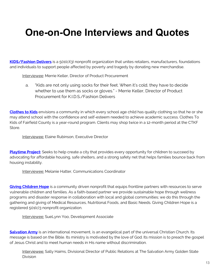### **One-on-One Interviews and Quotes**

**[KIDS/Fashion Delivers](http://www.delivering-good.org/)** is a 501(c)(3) nonprofit organization that unites retailers, manufacturers, foundations and individuals to support people affected by poverty and tragedy by donating new merchandise.

Interviewee: Merrie Keller, Director of Product Procurement

a. "Kids are not only using socks for their feet. When it's cold, they have to decide whether to use them as socks or gloves." - Merrie Keller, Director of Product Procurement for K.I.D.S./Fashion Delivers

**[Clothes to Kids](https://clothestokidsfairfieldcounty.org/how-it-works/)** envisions a community in which every school age child has quality clothing so that he or she may attend school with the confidence and self-esteem needed to achieve academic success. Clothes To Kids of Fairfield County is a year-round program. Clients may shop twice in a 12-month period at the CTKF Store.

Interviewee: Elaine Rubinson, Executive Director

**[Playtime Project](https://www.playtimeproject.org/what-we-do/):** Seeks to help create a city that provides every opportunity for children to succeed by advocating for affordable housing, safe shelters, and a strong safety net that helps families bounce back from housing instability.

Interviewee: Melanie Hatter, Communications Coordinator

**[Giving Children Hope](http://www.givingchildrenhope.org/)** is a community driven nonprofit that equips frontline partners with resources to serve vulnerable children and families. As a faith-based partner we provide sustainable hope through wellness programs and disaster response in collaboration with local and global communities; we do this through the gathering and giving of Medical Resources, Nutritional Foods, and Basic Needs. Giving Children Hope is a registered 501(c)3 nonprofit organization.

Interviewee: SueLynn Yoo, Development Associate

**[Salvation Army](http://www.salvationarmyusa.org/usn/about)** is an international movement, is an evangelical part of the universal Christian Church. Its message is based on the Bible. Its ministry is motivated by the love of God. Its mission is to preach the gospel of Jesus Christ and to meet human needs in His name without discrimination.

Interviewee: Sally Haims, Divisional Director of Public Relations at The Salvation Army Golden State Division